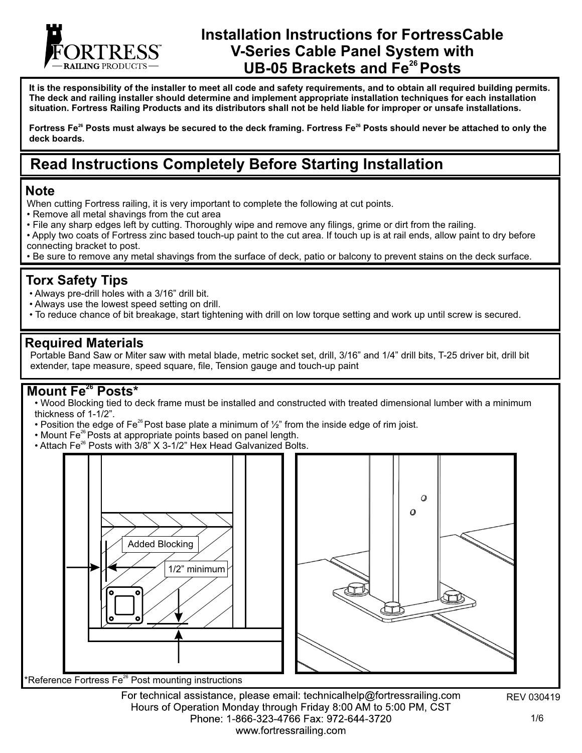

# **Installation Instructions for FortressCable V-Series Cable Panel System with <sup>26</sup>UB-05 Brackets and Fe Posts**

**It is the responsibility of the installer to meet all code and safety requirements, and to obtain all required building permits. The deck and railing installer should determine and implement appropriate installation techniques for each installation situation. Fortress Railing Products and its distributors shall not be held liable for improper or unsafe installations.**

Fortress Fe<sup>26</sup> Posts must always be secured to the deck framing. Fortress Fe<sup>26</sup> Posts should never be attached to only the **deck boards.**

# **Read Instructions Completely Before Starting Installation**

#### **Note**

- When cutting Fortress railing, it is very important to complete the following at cut points.
- Remove all metal shavings from the cut area
- File any sharp edges left by cutting. Thoroughly wipe and remove any filings, grime or dirt from the railing.
- Apply two coats of Fortress zinc based touch-up paint to the cut area. If touch up is at rail ends, allow paint to dry before connecting bracket to post.
- Be sure to remove any metal shavings from the surface of deck, patio or balcony to prevent stains on the deck surface.

#### **Torx Safety Tips**

- Always pre-drill holes with a 3/16" drill bit.
- Always use the lowest speed setting on drill.
- To reduce chance of bit breakage, start tightening with drill on low torque setting and work up until screw is secured.

#### **Required Materials**

Portable Band Saw or Miter saw with metal blade, metric socket set, drill, 3/16" and 1/4" drill bits, T-25 driver bit, drill bit extender, tape measure, speed square, file, Tension gauge and touch-up paint

#### **Mount Fe<sup>26</sup> Posts\***

• Wood Blocking tied to deck frame must be installed and constructed with treated dimensional lumber with a minimum thickness of 1-1/2".

- Position the edge of Fe<sup>26</sup> Post base plate a minimum of  $\frac{1}{2}$ " from the inside edge of rim joist.
- Mount Fe<sup>26</sup> Posts at appropriate points based on panel length.
- Attach Fe<sup>26</sup> Posts with 3/8" X 3-1/2" Hex Head Galvanized Bolts.



For technical assistance, please email: technicalhelp@fortressrailing.com Hours of Operation Monday through Friday 8:00 AM to 5:00 PM, CST Phone: 1-866-323-4766 Fax: 972-644-3720 www.fortressrailing.com

REV 030419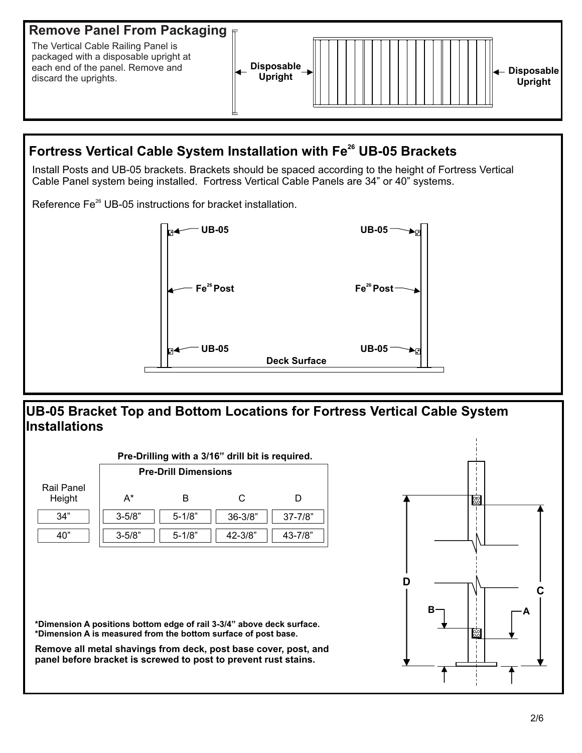

# **Fortress Vertical Cable System Installation with Fe<sup>26</sup> UB-05 Brackets**

Install Posts and UB-05 brackets. Brackets should be spaced according to the height of Fortress Vertical Cable Panel system being installed. Fortress Vertical Cable Panels are 34" or 40" systems.

Reference Fe<sup>26</sup> UB-05 instructions for bracket installation.



### **UB-05 Bracket Top and Bottom Locations for Fortress Vertical Cable System Installations**

| <b>Pre-Drill Dimensions</b> |            |            |             |              |
|-----------------------------|------------|------------|-------------|--------------|
| <b>Rail Panel</b><br>Height | $A^*$      | B          | C           | D            |
| 34"                         | $3 - 5/8"$ | $5 - 1/8"$ | $36 - 3/8"$ | $37 - 7/8"$  |
| 40"                         | $3 - 5/8"$ | $5 - 1/8"$ | $42 - 3/8"$ | $43 - 7/8$ " |
|                             |            |            |             |              |

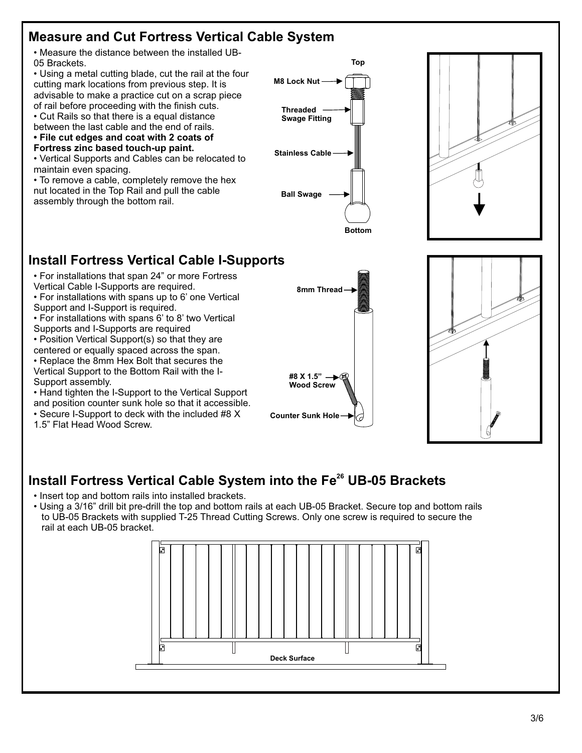### **Measure and Cut Fortress Vertical Cable System**

• Measure the distance between the installed UB-05 Brackets.

• Using a metal cutting blade, cut the rail at the four cutting mark locations from previous step. It is advisable to make a practice cut on a scrap piece of rail before proceeding with the finish cuts.

• Cut Rails so that there is a equal distance between the last cable and the end of rails.

**• File cut edges and coat with 2 coats of** 

**Fortress zinc based touch-up paint.**

• Vertical Supports and Cables can be relocated to maintain even spacing.

• To remove a cable, completely remove the hex nut located in the Top Rail and pull the cable assembly through the bottom rail.





### **Install Fortress Vertical Cable I-Supports**

- For installations that span 24" or more Fortress
- Vertical Cable I-Supports are required.
- For installations with spans up to 6' one Vertical Support and I-Support is required.
- For installations with spans 6' to 8' two Vertical
- Supports and I-Supports are required
- Position Vertical Support(s) so that they are centered or equally spaced across the span.
- Replace the 8mm Hex Bolt that secures the
- Vertical Support to the Bottom Rail with the I-Support assembly.
- Hand tighten the I-Support to the Vertical Support and position counter sunk hole so that it accessible.
- Secure I-Support to deck with the included #8 X
- 1.5" Flat Head Wood Screw.





# **Install Fortress Vertical Cable System into the Fe<sup>26</sup> UB-05 Brackets**

- Insert top and bottom rails into installed brackets.
- Using a 3/16" drill bit pre-drill the top and bottom rails at each UB-05 Bracket. Secure top and bottom rails to UB-05 Brackets with supplied T-25 Thread Cutting Screws. Only one screw is required to secure the rail at each UB-05 bracket.

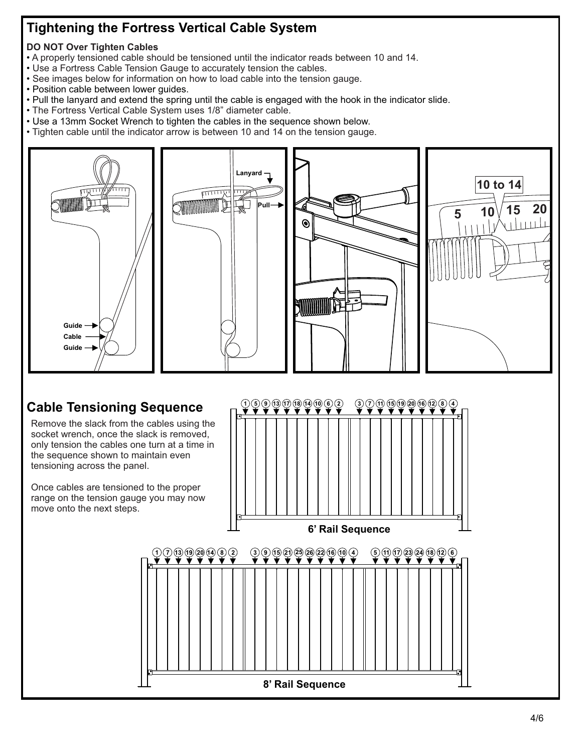# **Tightening the Fortress Vertical Cable System**

#### **DO NOT Over Tighten Cables**

- A properly tensioned cable should be tensioned until the indicator reads between 10 and 14.
- Use a Fortress Cable Tension Gauge to accurately tension the cables.
- See images below for information on how to load cable into the tension gauge.
- Position cable between lower guides.
- Pull the lanyard and extend the spring until the cable is engaged with the hook in the indicator slide.
- The Fortress Vertical Cable System uses 1/8" diameter cable.
- Use a 13mm Socket Wrench to tighten the cables in the sequence shown below.
- Tighten cable until the indicator arrow is between 10 and 14 on the tension gauge.



**8' Rail Sequence**